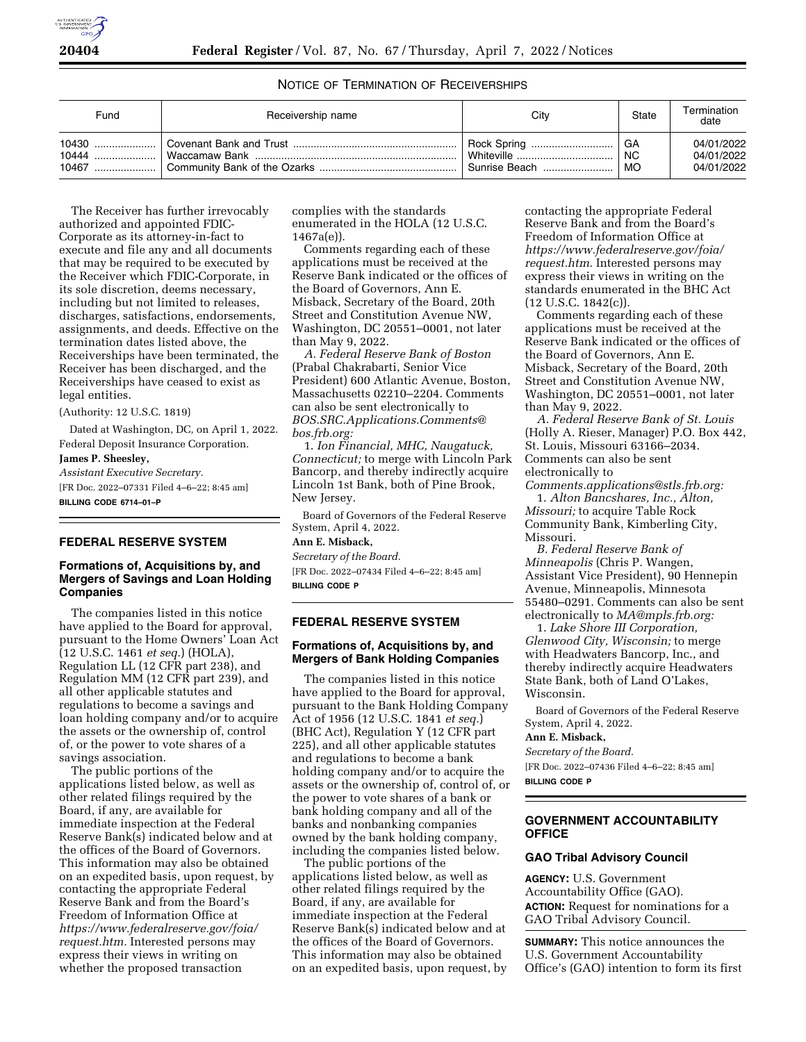# NOTICE OF TERMINATION OF RECEIVERSHIPS

| Fund | Receivership name | Citv                  | State     | Termination<br>date |
|------|-------------------|-----------------------|-----------|---------------------|
|      |                   |                       | GA        | 04/01/2022          |
|      |                   | Whiteville            | <b>NC</b> | 04/01/2022          |
|      |                   | <b>Sunrise Beach </b> | MO        | 04/01/2022          |

The Receiver has further irrevocably authorized and appointed FDIC-Corporate as its attorney-in-fact to execute and file any and all documents that may be required to be executed by the Receiver which FDIC-Corporate, in its sole discretion, deems necessary, including but not limited to releases, discharges, satisfactions, endorsements, assignments, and deeds. Effective on the termination dates listed above, the Receiverships have been terminated, the Receiver has been discharged, and the Receiverships have ceased to exist as legal entities.

(Authority: 12 U.S.C. 1819)

Dated at Washington, DC, on April 1, 2022. Federal Deposit Insurance Corporation. **James P. Sheesley,** 

*Assistant Executive Secretary.*  [FR Doc. 2022–07331 Filed 4–6–22; 8:45 am] **BILLING CODE 6714–01–P** 

# **FEDERAL RESERVE SYSTEM**

# **Formations of, Acquisitions by, and Mergers of Savings and Loan Holding Companies**

The companies listed in this notice have applied to the Board for approval, pursuant to the Home Owners' Loan Act (12 U.S.C. 1461 *et seq.*) (HOLA), Regulation LL (12 CFR part 238), and Regulation MM (12 CFR part 239), and all other applicable statutes and regulations to become a savings and loan holding company and/or to acquire the assets or the ownership of, control of, or the power to vote shares of a savings association.

The public portions of the applications listed below, as well as other related filings required by the Board, if any, are available for immediate inspection at the Federal Reserve Bank(s) indicated below and at the offices of the Board of Governors. This information may also be obtained on an expedited basis, upon request, by contacting the appropriate Federal Reserve Bank and from the Board's Freedom of Information Office at *[https://www.federalreserve.gov/foia/](https://www.federalreserve.gov/foia/request.htm) [request.htm.](https://www.federalreserve.gov/foia/request.htm)* Interested persons may express their views in writing on whether the proposed transaction

complies with the standards enumerated in the HOLA (12 U.S.C. 1467a(e)).

Comments regarding each of these applications must be received at the Reserve Bank indicated or the offices of the Board of Governors, Ann E. Misback, Secretary of the Board, 20th Street and Constitution Avenue NW, Washington, DC 20551–0001, not later than May 9, 2022.

*A. Federal Reserve Bank of Boston*  (Prabal Chakrabarti, Senior Vice President) 600 Atlantic Avenue, Boston, Massachusetts 02210–2204. Comments can also be sent electronically to *[BOS.SRC.Applications.Comments@](mailto:BOS.SRC.Applications.Comments@bos.frb.org) [bos.frb.org:](mailto:BOS.SRC.Applications.Comments@bos.frb.org)* 

1. *Ion Financial, MHC, Naugatuck, Connecticut;* to merge with Lincoln Park Bancorp, and thereby indirectly acquire Lincoln 1st Bank, both of Pine Brook, New Jersey.

Board of Governors of the Federal Reserve System, April 4, 2022.

# **Ann E. Misback,**

*Secretary of the Board.*  [FR Doc. 2022–07434 Filed 4–6–22; 8:45 am] **BILLING CODE P** 

**FEDERAL RESERVE SYSTEM** 

## **Formations of, Acquisitions by, and Mergers of Bank Holding Companies**

The companies listed in this notice have applied to the Board for approval, pursuant to the Bank Holding Company Act of 1956 (12 U.S.C. 1841 *et seq.*) (BHC Act), Regulation Y (12 CFR part 225), and all other applicable statutes and regulations to become a bank holding company and/or to acquire the assets or the ownership of, control of, or the power to vote shares of a bank or bank holding company and all of the banks and nonbanking companies owned by the bank holding company, including the companies listed below.

The public portions of the applications listed below, as well as other related filings required by the Board, if any, are available for immediate inspection at the Federal Reserve Bank(s) indicated below and at the offices of the Board of Governors. This information may also be obtained on an expedited basis, upon request, by

contacting the appropriate Federal Reserve Bank and from the Board's Freedom of Information Office at *[https://www.federalreserve.gov/foia/](https://www.federalreserve.gov/foia/request.htm) [request.htm.](https://www.federalreserve.gov/foia/request.htm)* Interested persons may express their views in writing on the standards enumerated in the BHC Act (12 U.S.C. 1842(c)).

Comments regarding each of these applications must be received at the Reserve Bank indicated or the offices of the Board of Governors, Ann E. Misback, Secretary of the Board, 20th Street and Constitution Avenue NW, Washington, DC 20551–0001, not later than May 9, 2022.

*A. Federal Reserve Bank of St. Louis*  (Holly A. Rieser, Manager) P.O. Box 442, St. Louis, Missouri 63166–2034. Comments can also be sent electronically to

*[Comments.applications@stls.frb.org:](mailto:Comments.applications@stls.frb.org)*  1. *Alton Bancshares, Inc., Alton,* 

*Missouri;* to acquire Table Rock Community Bank, Kimberling City, Missouri.

*B. Federal Reserve Bank of Minneapolis* (Chris P. Wangen, Assistant Vice President), 90 Hennepin Avenue, Minneapolis, Minnesota 55480–0291. Comments can also be sent electronically to *[MA@mpls.frb.org:](mailto:MA@mpls.frb.org)* 

1. *Lake Shore III Corporation, Glenwood City, Wisconsin;* to merge with Headwaters Bancorp, Inc., and thereby indirectly acquire Headwaters State Bank, both of Land O'Lakes, Wisconsin.

Board of Governors of the Federal Reserve System, April 4, 2022.

## **Ann E. Misback,**

*Secretary of the Board.*  [FR Doc. 2022–07436 Filed 4–6–22; 8:45 am]

**BILLING CODE P** 

# **GOVERNMENT ACCOUNTABILITY OFFICE**

### **GAO Tribal Advisory Council**

**AGENCY:** U.S. Government Accountability Office (GAO). **ACTION:** Request for nominations for a GAO Tribal Advisory Council.

**SUMMARY:** This notice announces the U.S. Government Accountability Office's (GAO) intention to form its first